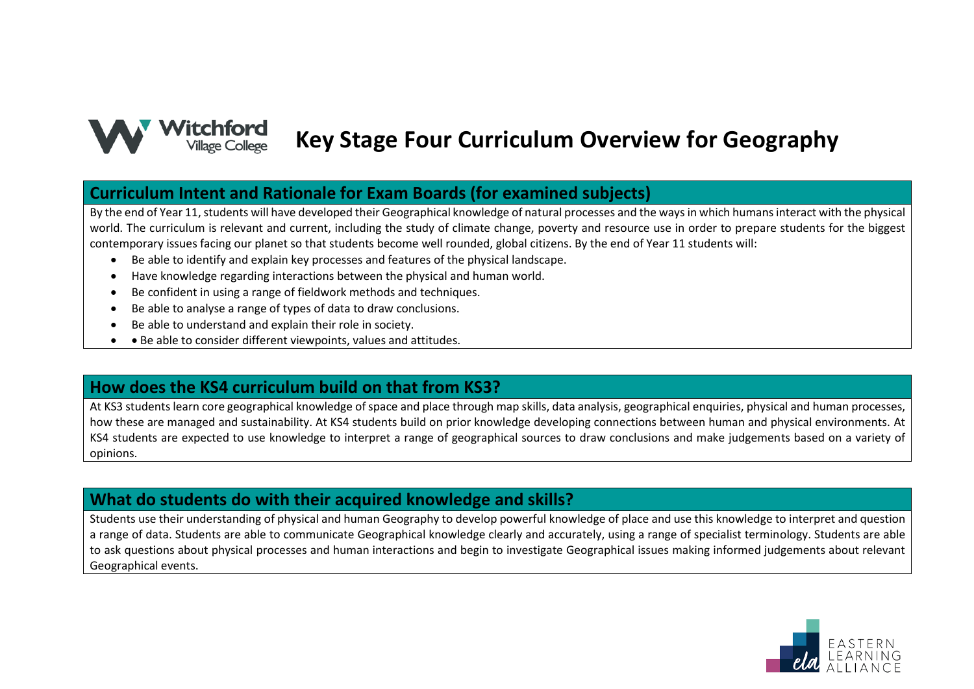

# **Key Stage Four Curriculum Overview for Geography**

#### **Curriculum Intent and Rationale for Exam Boards (for examined subjects)**

By the end of Year 11, students will have developed their Geographical knowledge of natural processes and the ways in which humans interact with the physical world. The curriculum is relevant and current, including the study of climate change, poverty and resource use in order to prepare students for the biggest contemporary issues facing our planet so that students become well rounded, global citizens. By the end of Year 11 students will:

- Be able to identify and explain key processes and features of the physical landscape.
- Have knowledge regarding interactions between the physical and human world.
- Be confident in using a range of fieldwork methods and techniques.
- Be able to analyse a range of types of data to draw conclusions.
- Be able to understand and explain their role in society.
- Be able to consider different viewpoints, values and attitudes.

### **How does the KS4 curriculum build on that from KS3?**

At KS3 students learn core geographical knowledge of space and place through map skills, data analysis, geographical enquiries, physical and human processes, how these are managed and sustainability. At KS4 students build on prior knowledge developing connections between human and physical environments. At KS4 students are expected to use knowledge to interpret a range of geographical sources to draw conclusions and make judgements based on a variety of opinions.

#### **What do students do with their acquired knowledge and skills?**

Students use their understanding of physical and human Geography to develop powerful knowledge of place and use this knowledge to interpret and question a range of data. Students are able to communicate Geographical knowledge clearly and accurately, using a range of specialist terminology. Students are able to ask questions about physical processes and human interactions and begin to investigate Geographical issues making informed judgements about relevant Geographical events.

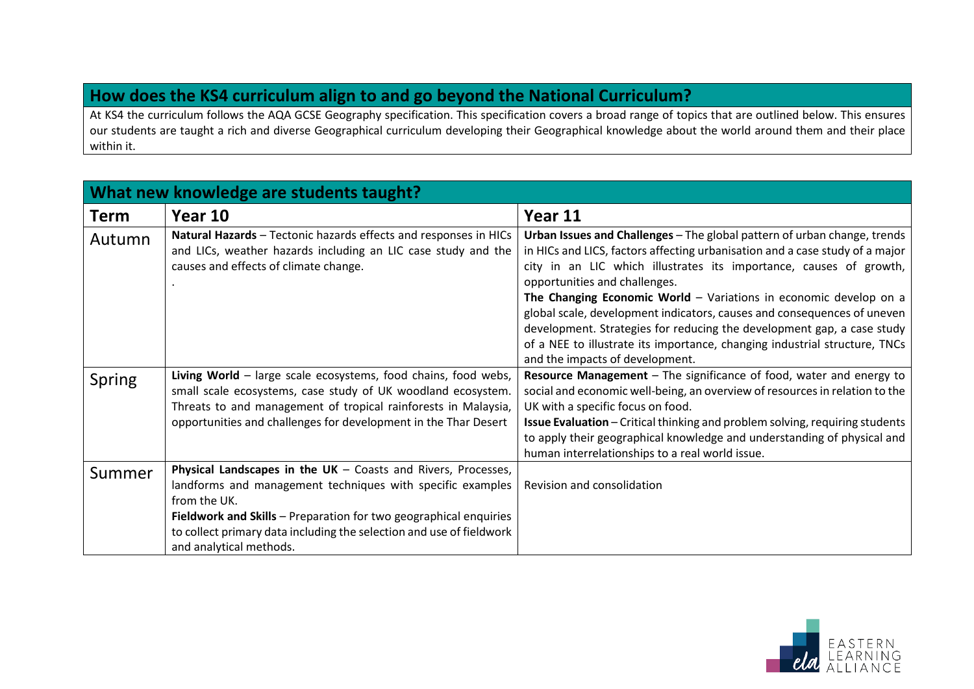## **How does the KS4 curriculum align to and go beyond the National Curriculum?**

At KS4 the curriculum follows the AQA GCSE Geography specification. This specification covers a broad range of topics that are outlined below. This ensures our students are taught a rich and diverse Geographical curriculum developing their Geographical knowledge about the world around them and their place within it.

| What new knowledge are students taught? |                                                                                                                                                                                                                                                                                                                       |                                                                                                                                                                                                                                                                                                                                                                                                                                                                                                                                                                                                            |
|-----------------------------------------|-----------------------------------------------------------------------------------------------------------------------------------------------------------------------------------------------------------------------------------------------------------------------------------------------------------------------|------------------------------------------------------------------------------------------------------------------------------------------------------------------------------------------------------------------------------------------------------------------------------------------------------------------------------------------------------------------------------------------------------------------------------------------------------------------------------------------------------------------------------------------------------------------------------------------------------------|
| <b>Term</b>                             | Year 10                                                                                                                                                                                                                                                                                                               | Year 11                                                                                                                                                                                                                                                                                                                                                                                                                                                                                                                                                                                                    |
| Autumn                                  | Natural Hazards - Tectonic hazards effects and responses in HICs<br>and LICs, weather hazards including an LIC case study and the<br>causes and effects of climate change.                                                                                                                                            | Urban Issues and Challenges - The global pattern of urban change, trends<br>in HICs and LICS, factors affecting urbanisation and a case study of a major<br>city in an LIC which illustrates its importance, causes of growth,<br>opportunities and challenges.<br>The Changing Economic World - Variations in economic develop on a<br>global scale, development indicators, causes and consequences of uneven<br>development. Strategies for reducing the development gap, a case study<br>of a NEE to illustrate its importance, changing industrial structure, TNCs<br>and the impacts of development. |
| Spring                                  | Living World - large scale ecosystems, food chains, food webs,<br>small scale ecosystems, case study of UK woodland ecosystem.<br>Threats to and management of tropical rainforests in Malaysia,<br>opportunities and challenges for development in the Thar Desert                                                   | Resource Management - The significance of food, water and energy to<br>social and economic well-being, an overview of resources in relation to the<br>UK with a specific focus on food.<br><b>Issue Evaluation</b> - Critical thinking and problem solving, requiring students<br>to apply their geographical knowledge and understanding of physical and<br>human interrelationships to a real world issue.                                                                                                                                                                                               |
| Summer                                  | Physical Landscapes in the $UK - Coasts$ and Rivers, Processes,<br>landforms and management techniques with specific examples<br>from the UK.<br>Fieldwork and Skills - Preparation for two geographical enquiries<br>to collect primary data including the selection and use of fieldwork<br>and analytical methods. | Revision and consolidation                                                                                                                                                                                                                                                                                                                                                                                                                                                                                                                                                                                 |

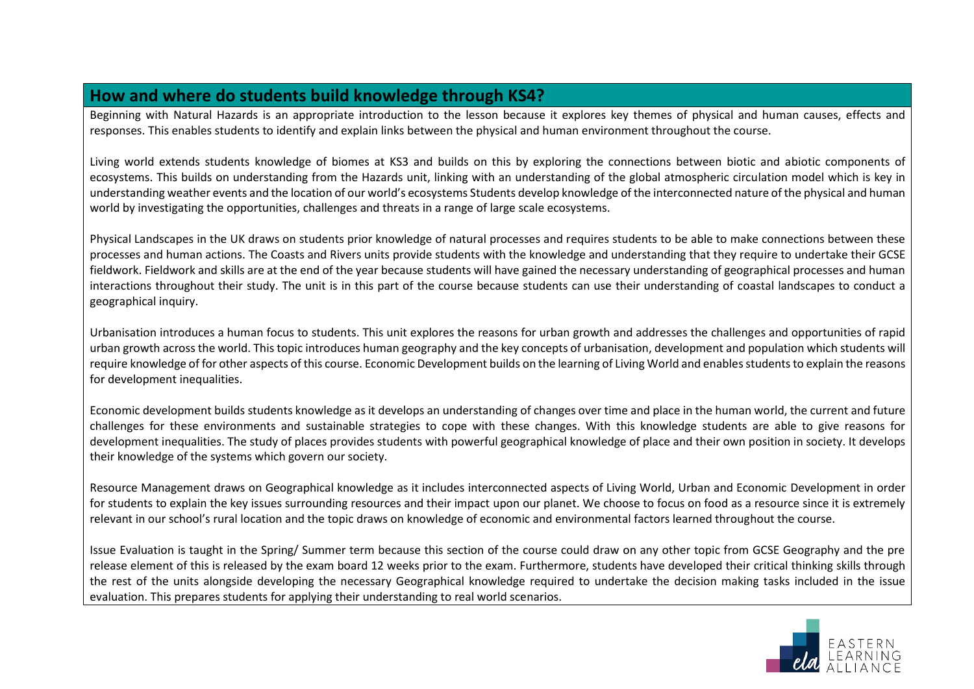#### **How and where do students build knowledge through KS4?**

Beginning with Natural Hazards is an appropriate introduction to the lesson because it explores key themes of physical and human causes, effects and responses. This enables students to identify and explain links between the physical and human environment throughout the course.

Living world extends students knowledge of biomes at KS3 and builds on this by exploring the connections between biotic and abiotic components of ecosystems. This builds on understanding from the Hazards unit, linking with an understanding of the global atmospheric circulation model which is key in understanding weather events and the location of our world's ecosystems Students develop knowledge of the interconnected nature of the physical and human world by investigating the opportunities, challenges and threats in a range of large scale ecosystems.

Physical Landscapes in the UK draws on students prior knowledge of natural processes and requires students to be able to make connections between these processes and human actions. The Coasts and Rivers units provide students with the knowledge and understanding that they require to undertake their GCSE fieldwork. Fieldwork and skills are at the end of the year because students will have gained the necessary understanding of geographical processes and human interactions throughout their study. The unit is in this part of the course because students can use their understanding of coastal landscapes to conduct a geographical inquiry.

Urbanisation introduces a human focus to students. This unit explores the reasons for urban growth and addresses the challenges and opportunities of rapid urban growth across the world. This topic introduces human geography and the key concepts of urbanisation, development and population which students will require knowledge of for other aspects of this course. Economic Development builds on the learning of Living World and enables students to explain the reasons for development inequalities.

Economic development builds students knowledge as it develops an understanding of changes over time and place in the human world, the current and future challenges for these environments and sustainable strategies to cope with these changes. With this knowledge students are able to give reasons for development inequalities. The study of places provides students with powerful geographical knowledge of place and their own position in society. It develops their knowledge of the systems which govern our society.

Resource Management draws on Geographical knowledge as it includes interconnected aspects of Living World, Urban and Economic Development in order for students to explain the key issues surrounding resources and their impact upon our planet. We choose to focus on food as a resource since it is extremely relevant in our school's rural location and the topic draws on knowledge of economic and environmental factors learned throughout the course.

Issue Evaluation is taught in the Spring/ Summer term because this section of the course could draw on any other topic from GCSE Geography and the pre release element of this is released by the exam board 12 weeks prior to the exam. Furthermore, students have developed their critical thinking skills through the rest of the units alongside developing the necessary Geographical knowledge required to undertake the decision making tasks included in the issue evaluation. This prepares students for applying their understanding to real world scenarios.